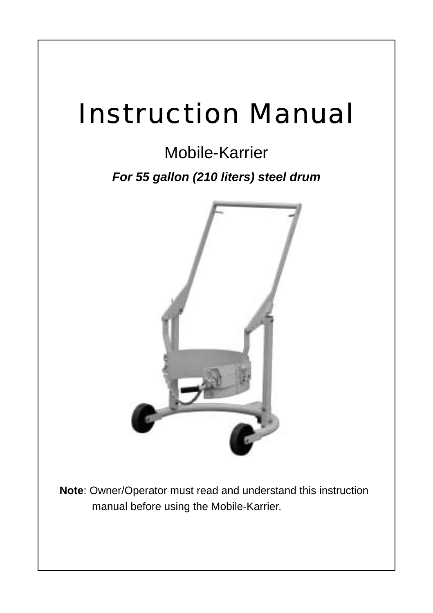# Instruction Manual

# Mobile-Karrier

*For 55 gallon (210 liters) steel drum*



**Note**: Owner/Operator must read and understand this instruction manual before using the Mobile-Karrier.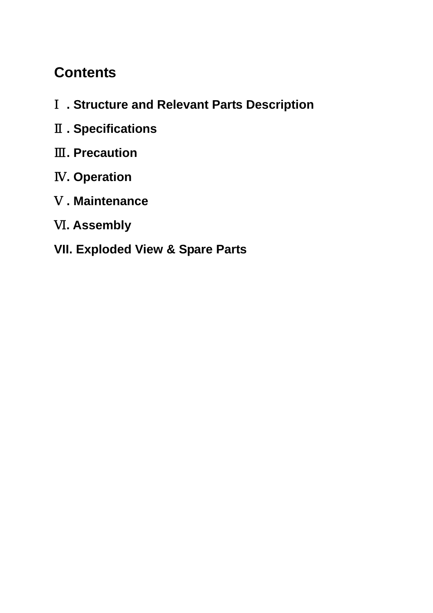## **Contents**

- **. Structure and Relevant Parts Description**
- **. Specifications**
- **. Precaution**
- **. Operation**
- **. Maintenance**
- **. Assembly**

## **VII. Exploded View & Spare Parts**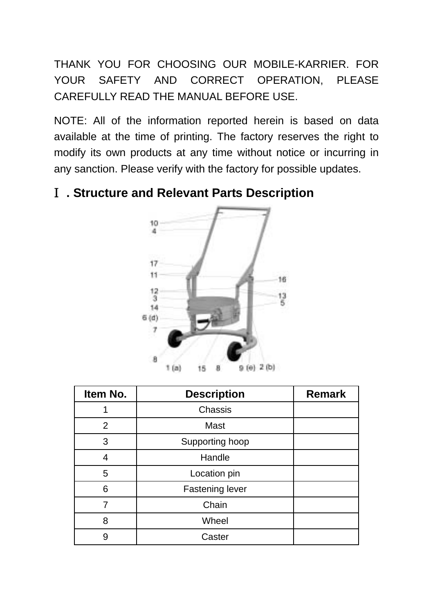THANK YOU FOR CHOOSING OUR MOBILE-KARRIER. FOR YOUR SAFETY AND CORRECT OPERATION, PLEASE CAREFULLY READ THE MANUAL BEFORE USE.

NOTE: All of the information reported herein is based on data available at the time of printing. The factory reserves the right to modify its own products at any time without notice or incurring in any sanction. Please verify with the factory for possible updates.

#### Ⅰ**. Structure and Relevant Parts Description**



| Item No. | <b>Description</b> | <b>Remark</b> |
|----------|--------------------|---------------|
|          | Chassis            |               |
| 2        | Mast               |               |
| 3        | Supporting hoop    |               |
| 4        | Handle             |               |
| 5        | Location pin       |               |
| 6        | Fastening lever    |               |
| 7        | Chain              |               |
| 8        | Wheel              |               |
| 9        | Caster             |               |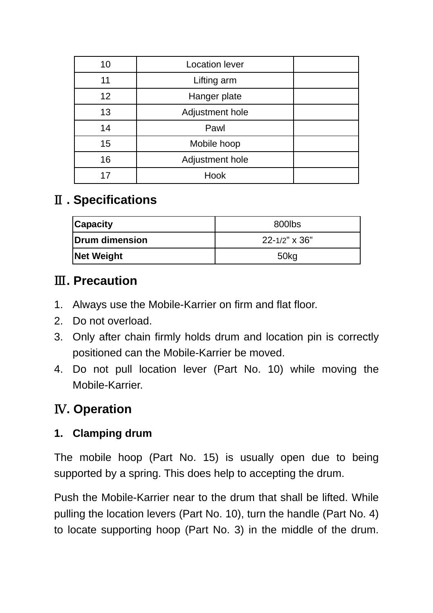| 10 | Location lever  |  |
|----|-----------------|--|
| 11 | Lifting arm     |  |
| 12 | Hanger plate    |  |
| 13 | Adjustment hole |  |
| 14 | Pawl            |  |
| 15 | Mobile hoop     |  |
| 16 | Adjustment hole |  |
| 17 | Hook            |  |

## Ⅱ**. Specifications**

| Capacity          | 800lbs           |  |  |
|-------------------|------------------|--|--|
| Drum dimension    | 22-1/2" x 36"    |  |  |
| <b>Net Weight</b> | 50 <sub>kg</sub> |  |  |

## Ⅲ**. Precaution**

- 1. Always use the Mobile-Karrier on firm and flat floor.
- 2. Do not overload.
- 3. Only after chain firmly holds drum and location pin is correctly positioned can the Mobile-Karrier be moved.
- 4. Do not pull location lever (Part No. 10) while moving the Mobile-Karrier.

## Ⅳ**. Operation**

## **1. Clamping drum**

The mobile hoop (Part No. 15) is usually open due to being supported by a spring. This does help to accepting the drum.

Push the Mobile-Karrier near to the drum that shall be lifted. While pulling the location levers (Part No. 10), turn the handle (Part No. 4) to locate supporting hoop (Part No. 3) in the middle of the drum.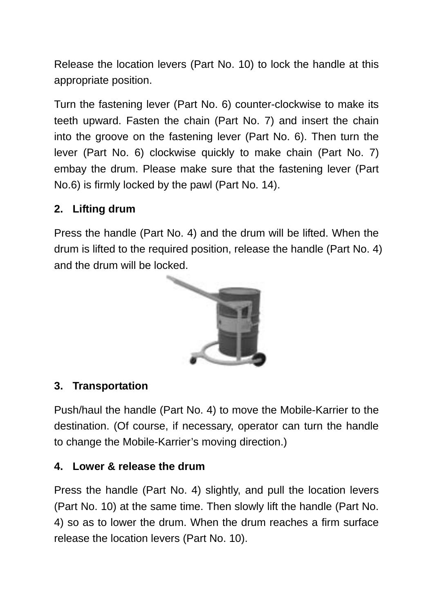Release the location levers (Part No. 10) to lock the handle at this appropriate position.

Turn the fastening lever (Part No. 6) counter-clockwise to make its teeth upward. Fasten the chain (Part No. 7) and insert the chain into the groove on the fastening lever (Part No. 6). Then turn the lever (Part No. 6) clockwise quickly to make chain (Part No. 7) embay the drum. Please make sure that the fastening lever (Part No.6) is firmly locked by the pawl (Part No. 14).

#### **2. Lifting drum**

Press the handle (Part No. 4) and the drum will be lifted. When the drum is lifted to the required position, release the handle (Part No. 4) and the drum will be locked.



#### **3. Transportation**

Push/haul the handle (Part No. 4) to move the Mobile-Karrier to the destination. (Of course, if necessary, operator can turn the handle to change the Mobile-Karrier's moving direction.)

#### **4. Lower & release the drum**

Press the handle (Part No. 4) slightly, and pull the location levers (Part No. 10) at the same time. Then slowly lift the handle (Part No. 4) so as to lower the drum. When the drum reaches a firm surface release the location levers (Part No. 10).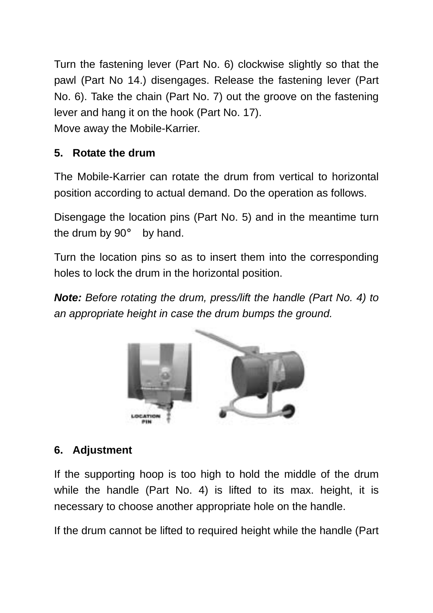Turn the fastening lever (Part No. 6) clockwise slightly so that the pawl (Part No 14.) disengages. Release the fastening lever (Part No. 6). Take the chain (Part No. 7) out the groove on the fastening lever and hang it on the hook (Part No. 17). Move away the Mobile-Karrier.

#### **5. Rotate the drum**

The Mobile-Karrier can rotate the drum from vertical to horizontal position according to actual demand. Do the operation as follows.

Disengage the location pins (Part No. 5) and in the meantime turn the drum by 90° by hand.

Turn the location pins so as to insert them into the corresponding holes to lock the drum in the horizontal position.

*Note: Before rotating the drum, press/lift the handle (Part No. 4) to an appropriate height in case the drum bumps the ground.*



#### **6. Adjustment**

If the supporting hoop is too high to hold the middle of the drum while the handle (Part No. 4) is lifted to its max. height, it is necessary to choose another appropriate hole on the handle.

If the drum cannot be lifted to required height while the handle (Part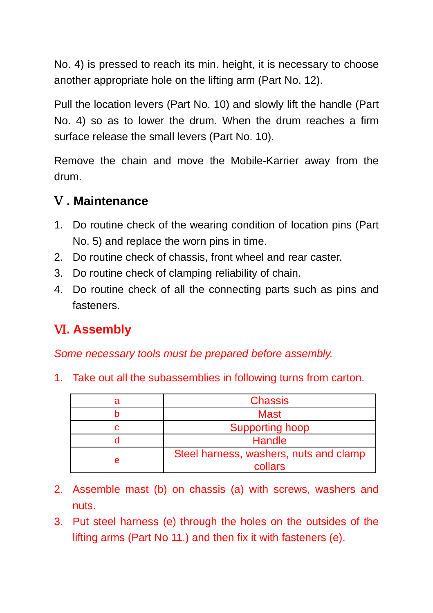No. 4) is pressed to reach its min. height, it is necessary to choose another appropriate hole on the lifting arm (Part No. 12).

Pull the location levers (Part No. 10) and slowly lift the handle (Part No. 4) so as to lower the drum. When the drum reaches a firm surface release the small levers (Part No. 10).

Remove the chain and move the Mobile-Karrier away from the drum.

#### Ⅴ**. Maintenance**

- 1. Do routine check of the wearing condition of location pins (Part No. 5) and replace the worn pins in time.
- 2. Do routine check of chassis, front wheel and rear caster.
- 3. Do routine check of clamping reliability of chain.
- 4. Do routine check of all the connecting parts such as pins and fasteners.

## Ⅵ**. Assembly**

*Some necessary tools must be prepared before assembly.* 

1. Take out all the subassemblies in following turns from carton.

| <b>Chassis</b>                                    |
|---------------------------------------------------|
| <b>Mast</b>                                       |
| <b>Supporting hoop</b>                            |
| Handle                                            |
| Steel harness, washers, nuts and clamp<br>collars |

- 2. Assemble mast (b) on chassis (a) with screws, washers and nuts.
- 3. Put steel harness (e) through the holes on the outsides of the lifting arms (Part No 11.) and then fix it with fasteners (e).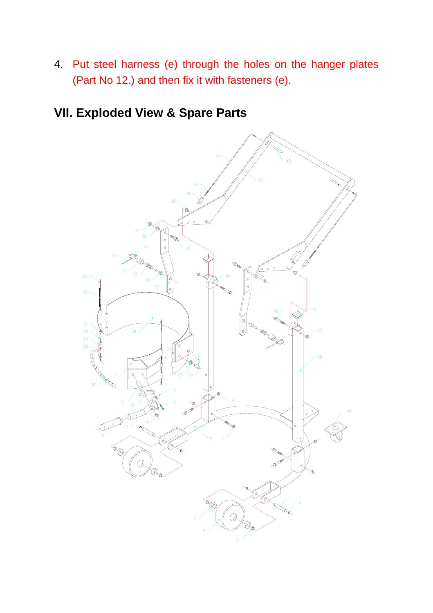4. Put steel harness (e) through the holes on the hanger plates (Part No 12.) and then fix it with fasteners (e).

## **VII. Exploded View & Spare Parts**